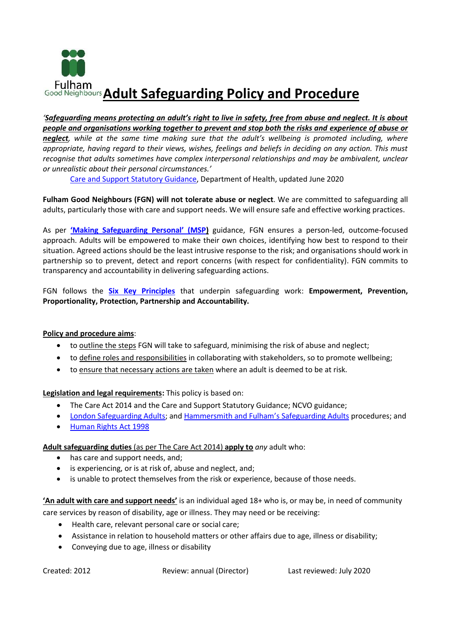

*'Safeguarding means protecting an adult's right to live in safety, free from abuse and neglect. It is about people and organisations working together to prevent and stop both the risks and experience of abuse or neglect, while at the same time making sure that the adult's wellbeing is promoted including, where appropriate, having regard to their views, wishes, feelings and beliefs in deciding on any action. This must recognise that adults sometimes have complex interpersonal relationships and may be ambivalent, unclear or unrealistic about their personal circumstances.'*

[Care and Support Statutory Guidance,](https://www.gov.uk/government/publications/care-act-statutory-guidance/care-and-support-statutory-guidance) Department of Health, updated June 2020

**Fulham Good Neighbours (FGN) will not tolerate abuse or neglect**. We are committed to safeguarding all adults, particularly those with care and support needs. We will ensure safe and effective working practices.

As per **['Making Safeguarding Personal' \(MSP](https://www.local.gov.uk/our-support/our-improvement-offer/care-and-health-improvement/making-safeguarding-personal#:~:text=The%20Making%20Safeguarding%20Personal%20Outcomes%20framework%20%28May%202018%29,have%20suffered%2C%20abuse%20or%20neglect%20in%20their%20area.))** guidance, FGN ensures a person-led, outcome-focused approach. Adults will be empowered to make their own choices, identifying how best to respond to their situation. Agreed actions should be the least intrusive response to the risk; and organisations should work in partnership so to prevent, detect and report concerns (with respect for confidentiality). FGN commits to transparency and accountability in delivering safeguarding actions.

FGN follows the **[Six Key Principles](https://www.gov.uk/government/publications/care-act-statutory-guidance/care-and-support-statutory-guidance#safeguarding-1)** that underpin safeguarding work: **Empowerment, Prevention, Proportionality, Protection, Partnership and Accountability.**

## **Policy and procedure aims**:

- to outline the steps FGN will take to safeguard, minimising the risk of abuse and neglect;
- to define roles and responsibilities in collaborating with stakeholders, so to promote wellbeing;
- to ensure that necessary actions are taken where an adult is deemed to be at risk.

**Legislation and legal requirements:** This policy is based on:

- The Care Act 2014 and the Care and Support Statutory Guidance; NCVO guidance;
- [London Safeguarding Adults;](http://londonadass.org.uk/wp-content/uploads/2019/05/2019.04.23-Review-of-the-Multi-Agency-Adult-Safeguarding-policy-and-procedures-2019-final-1-1.pdf) and [Hammersmith and Fulham](https://www.lbhf.gov.uk/crime/victim-support/safeguarding-adults)'s Safeguarding Adults procedures; and
- [Human Rights Act 1998](https://www.equalityhumanrights.com/en/human-rights/human-rights-act)

**Adult safeguarding duties** (as per The Care Act 2014) **apply to** *any* adult who:

- has care and support needs, and;
- is experiencing, or is at risk of, abuse and neglect, and;
- is unable to protect themselves from the risk or experience, because of those needs.

**'An adult with care and support needs'** is an individual aged 18+ who is, or may be, in need of community care services by reason of disability, age or illness. They may need or be receiving:

- Health care, relevant personal care or social care;
- Assistance in relation to household matters or other affairs due to age, illness or disability;
- Conveying due to age, illness or disability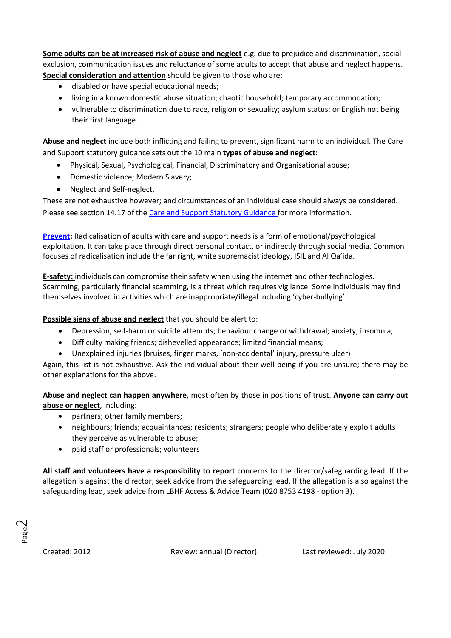**Some adults can be at increased risk of abuse and neglect** e.g. due to prejudice and discrimination, social exclusion, communication issues and reluctance of some adults to accept that abuse and neglect happens. **Special consideration and attention** should be given to those who are:

- disabled or have special educational needs;
- living in a known domestic abuse situation; chaotic household; temporary accommodation;
- vulnerable to discrimination due to race, religion or sexuality; asylum status; or English not being their first language.

**Abuse and neglect** include both inflicting and failing to prevent, significant harm to an individual. The Care and Support statutory guidance sets out the 10 main **types of abuse and neglect**:

- Physical, Sexual, Psychological, Financial, Discriminatory and Organisational abuse;
- Domestic violence; Modern Slavery;
- Neglect and Self-neglect.

These are not exhaustive however; and circumstances of an individual case should always be considered. Please see section 14.17 of the [Care and Support Statutory Guidance](https://www.gov.uk/government/publications/care-act-statutory-guidance/care-and-support-statutory-guidance) for more information.

**[Prevent:](https://www.gov.uk/government/publications/prevent-duty-guidance)** Radicalisation of adults with care and support needs is a form of emotional/psychological exploitation. It can take place through direct personal contact, or indirectly through social media. Common focuses of radicalisation include the far right, white supremacist ideology, ISIL and Al Qa'ida.

**E-safety:** individuals can compromise their safety when using the internet and other technologies. Scamming, particularly financial scamming, is a threat which requires vigilance. Some individuals may find themselves involved in activities which are inappropriate/illegal including 'cyber-bullying'.

**Possible signs of abuse and neglect** that you should be alert to:

- Depression, self-harm or suicide attempts; behaviour change or withdrawal; anxiety; insomnia;
- Difficulty making friends; dishevelled appearance; limited financial means;
- Unexplained injuries (bruises, finger marks, 'non-accidental' injury, pressure ulcer)

Again, this list is not exhaustive. Ask the individual about their well-being if you are unsure; there may be other explanations for the above.

**Abuse and neglect can happen anywhere**, most often by those in positions of trust. **Anyone can carry out abuse or neglect**, including:

- partners; other family members;
- neighbours; friends; acquaintances; residents; strangers; people who deliberately exploit adults they perceive as vulnerable to abuse;
- paid staff or professionals; volunteers

**All staff and volunteers have a responsibility to report** concerns to the director/safeguarding lead. If the allegation is against the director, seek advice from the safeguarding lead. If the allegation is also against the safeguarding lead, seek advice from LBHF Access & Advice Team (020 8753 4198 - option 3).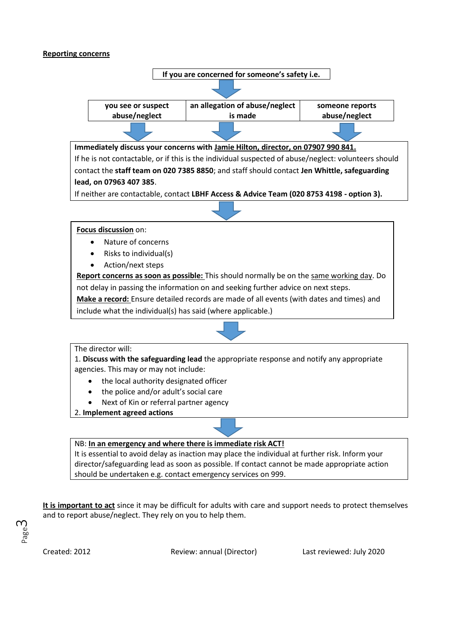## **Reporting concerns**



It is essential to avoid delay as inaction may place the individual at further risk. Inform your director/safeguarding lead as soon as possible. If contact cannot be made appropriate action should be undertaken e.g. contact emergency services on 999.

**It is important to act** since it may be difficult for adults with care and support needs to protect themselves and to report abuse/neglect. They rely on you to help them.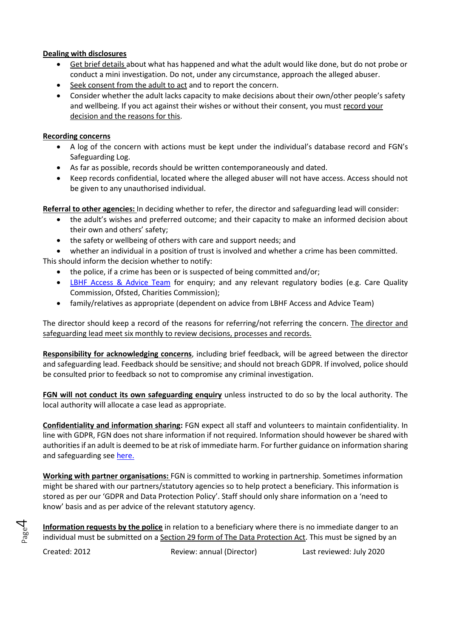## **Dealing with disclosures**

- Get brief details about what has happened and what the adult would like done, but do not probe or conduct a mini investigation. Do not, under any circumstance, approach the alleged abuser.
- Seek consent from the adult to act and to report the concern.
- Consider whether the adult lacks capacity to make decisions about their own/other people's safety and wellbeing. If you act against their wishes or without their consent, you must record your decision and the reasons for this.

## **Recording concerns**

- A log of the concern with actions must be kept under the individual's database record and FGN's Safeguarding Log.
- As far as possible, records should be written contemporaneously and dated.
- Keep records confidential, located where the alleged abuser will not have access. Access should not be given to any unauthorised individual.

**Referral to other agencies:** In deciding whether to refer, the director and safeguarding lead will consider:

- the adult's wishes and preferred outcome; and their capacity to make an informed decision about their own and others' safety;
- the safety or wellbeing of others with care and support needs; and

• whether an individual in a position of trust is involved and whether a crime has been committed. This should inform the decision whether to notify:

- the police, if a crime has been or is suspected of being committed and/or;
- [LBHF Access & Advice Team](https://www.lbhf.gov.uk/crime/victim-support/safeguarding-adults) for enquiry; and any relevant regulatory bodies (e.g. Care Quality Commission, Ofsted, Charities Commission);
- family/relatives as appropriate (dependent on advice from LBHF Access and Advice Team)

The director should keep a record of the reasons for referring/not referring the concern. The director and safeguarding lead meet six monthly to review decisions, processes and records.

**Responsibility for acknowledging concerns**, including brief feedback, will be agreed between the director and safeguarding lead. Feedback should be sensitive; and should not breach GDPR. If involved, police should be consulted prior to feedback so not to compromise any criminal investigation.

**FGN will not conduct its own safeguarding enquiry** unless instructed to do so by the local authority. The local authority will allocate a case lead as appropriate.

**Confidentiality and information sharing:** FGN expect all staff and volunteers to maintain confidentiality. In line with GDPR, FGN does not share information if not required. Information should however be shared with authorities if an adult is deemed to be at risk of immediate harm. For further guidance on information sharing and safeguarding see [here.](https://www.scie.org.uk/care-act-2014/safeguarding-adults/sharing-information/keymessages.asp)

**Working with partner organisations:** FGN is committed to working in partnership. Sometimes information might be shared with our partners/statutory agencies so to help protect a beneficiary. This information is stored as per our 'GDPR and Data Protection Policy'. Staff should only share information on a 'need to know' basis and as per advice of the relevant statutory agency.

**Information requests by the police** in relation to a beneficiary where there is no immediate danger to an individual must be submitted on a Section 29 form of The Data Protection Act. This must be signed by an

Page 4